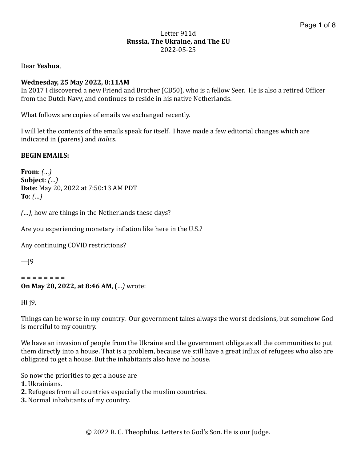#### Letter 911d **Russia, The Ukraine, and The EU** 2022-05-25

Dear **Yeshua**, 

### **Wednesday, 25 May 2022, 8:11AM**

In 2017 I discovered a new Friend and Brother (CB50), who is a fellow Seer. He is also a retired Officer from the Dutch Navy, and continues to reside in his native Netherlands.

What follows are copies of emails we exchanged recently.

I will let the contents of the emails speak for itself. I have made a few editorial changes which are indicated in (parens) and *italics*.

### **BEGIN EMAILS:**

```
From: <math>(...)</math>Subject:	(…)
Date: May 20, 2022 at 7:50:13 AM PDT
To: (...)
```
*(...)*, how are things in the Netherlands these days?

Are you experiencing monetary inflation like here in the U.S.?

Any continuing COVID restrictions?

 $-I<sup>9</sup>$ 

```
=	=	=	=	=	=	=	=
On May 20, 2022, at 8:46 AM, (...) wrote:
```
Hi $j9$ ,

Things can be worse in my country. Our government takes always the worst decisions, but somehow God is merciful to my country.

We have an invasion of people from the Ukraine and the government obligates all the communities to put them directly into a house. That is a problem, because we still have a great influx of refugees who also are obligated to get a house. But the inhabitants also have no house.

So now the priorities to get a house are

**1.** Ukrainians. 

- **2.** Refugees from all countries especially the muslim countries.
- **3.** Normal inhabitants of my country.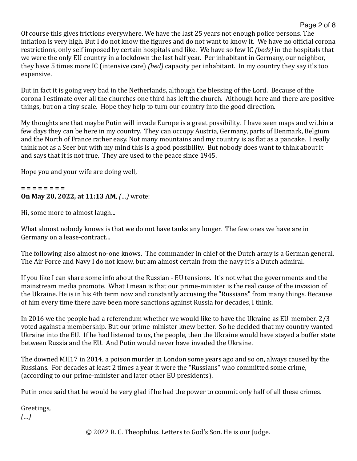# Page 2 of 8

Of course this gives frictions everywhere. We have the last 25 years not enough police persons. The inflation is very high. But I do not know the figures and do not want to know it. We have no official corona restrictions, only self imposed by certain hospitals and like. We have so few IC *(beds)* in the hospitals that we were the only EU country in a lockdown the last half year. Per inhabitant in Germany, our neighbor, they have 5 times more IC (intensive care) *(bed)* capacity per inhabitant. In my country they say it's too expensive. 

But in fact it is going very bad in the Netherlands, although the blessing of the Lord. Because of the corona I estimate over all the churches one third has left the church. Although here and there are positive things, but on a tiny scale. Hope they help to turn our country into the good direction.

My thoughts are that maybe Putin will invade Europe is a great possibility. I have seen maps and within a few days they can be here in my country. They can occupy Austria, Germany, parts of Denmark, Belgium and the North of France rather easy. Not many mountains and my country is as flat as a pancake. I really think not as a Seer but with my mind this is a good possibility. But nobody does want to think about it and says that it is not true. They are used to the peace since 1945.

Hope you and your wife are doing well,

#### **= = = = = = = = On May 20, 2022, at 11:13 AM, (...)** wrote:

Hi, some more to almost laugh...

What almost nobody knows is that we do not have tanks any longer. The few ones we have are in Germany on a lease-contract...

The following also almost no-one knows. The commander in chief of the Dutch army is a German general. The Air Force and Navy I do not know, but am almost certain from the navy it's a Dutch admiral.

If you like I can share some info about the Russian - EU tensions. It's not what the governments and the mainstream media promote. What I mean is that our prime-minister is the real cause of the invasion of the Ukraine. He is in his 4th term now and constantly accusing the "Russians" from many things. Because of him every time there have been more sanctions against Russia for decades, I think.

In 2016 we the people had a referendum whether we would like to have the Ukraine as EU-member.  $2/3$ voted against a membership. But our prime-minister knew better. So he decided that my country wanted Ukraine into the EU. If he had listened to us, the people, then the Ukraine would have stayed a buffer state between Russia and the EU. And Putin would never have invaded the Ukraine.

The downed MH17 in 2014, a poison murder in London some years ago and so on, always caused by the Russians. For decades at least 2 times a year it were the "Russians" who committed some crime, (according to our prime-minister and later other EU presidents).

Putin once said that he would be very glad if he had the power to commit only half of all these crimes.

Greetings, 

*(…)*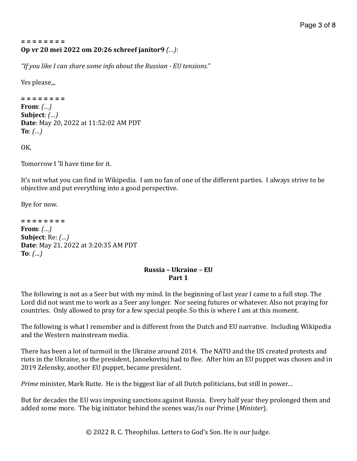#### **= = = = = = = = Op vr 20 mei 2022 om 20:26 schreef janitor9** *(…)*:

"If you like I can share some info about the Russian - EU tensions."

Yes please,

**= = = = = = = = From**: *(...)* **Subject**: *(…)* **Date**: May 20, 2022 at 11:52:02 AM PDT **To**:  $(...)$ 

OK, 

Tomorrow I 'll have time for it.

It's not what you can find in Wikipedia. I am no fan of one of the different parties. I always strive to be objective and put everything into a good perspective.

Bye for now.

**= = = = = = = = From**:  $(\ldots)$ **Subject**: Re: *(...)* **Date**: May 21, 2022 at 3:20:35 AM PDT **To**:  $(\ldots)$ 

### **Russia – Ukraine – EU Part 1**

The following is not as a Seer but with my mind. In the beginning of last year I came to a full stop. The Lord did not want me to work as a Seer any longer. Nor seeing futures or whatever. Also not praying for countries. Only allowed to pray for a few special people. So this is where I am at this moment.

The following is what I remember and is different from the Dutch and EU narrative. Including Wikipedia and the Western mainstream media.

There has been a lot of turmoil in the Ukraine around 2014. The NATO and the US created protests and riots in the Ukraine, so the president, Janoekovitsj had to flee. After him an EU puppet was chosen and in 2019 Zelensky, another EU puppet, became president.

*Prime* minister, Mark Rutte. He is the biggest liar of all Dutch politicians, but still in power...

But for decades the EU was imposing sanctions against Russia. Every half year they prolonged them and added some more. The big initiator behind the scenes was/is our Prime (*Minister*).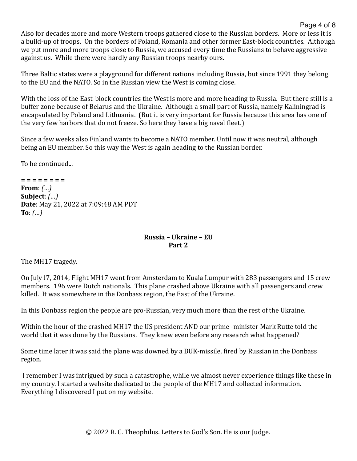Also for decades more and more Western troops gathered close to the Russian borders. More or less it is a build-up of troops. On the borders of Poland, Romania and other former East-block countries. Although we put more and more troops close to Russia, we accused every time the Russians to behave aggressive against us. While there were hardly any Russian troops nearby ours.

Page 4 of 8

Three Baltic states were a playground for different nations including Russia, but since 1991 they belong to the EU and the NATO. So in the Russian view the West is coming close.

With the loss of the East-block countries the West is more and more heading to Russia. But there still is a buffer zone because of Belarus and the Ukraine. Although a small part of Russia, namely Kaliningrad is encapsulated by Poland and Lithuania. (But it is very important for Russia because this area has one of the very few harbors that do not freeze. So here they have a big naval fleet.)

Since a few weeks also Finland wants to become a NATO member. Until now it was neutral, although being an EU member. So this way the West is again heading to the Russian border.

To be continued...

**= = = = = = = = From**:  $(\dots)$ **Subject**: *(…)* **Date**: May 21, 2022 at 7:09:48 AM PDT  $To: *(...)*$ 

# **Russia – Ukraine – EU Part 2**

The MH17 tragedy.

On July17, 2014, Flight MH17 went from Amsterdam to Kuala Lumpur with 283 passengers and 15 crew members. 196 were Dutch nationals. This plane crashed above Ukraine with all passengers and crew killed. It was somewhere in the Donbass region, the East of the Ukraine.

In this Donbass region the people are pro-Russian, very much more than the rest of the Ukraine.

Within the hour of the crashed MH17 the US president AND our prime -minister Mark Rutte told the world that it was done by the Russians. They knew even before any research what happened?

Some time later it was said the plane was downed by a BUK-missile, fired by Russian in the Donbass region. 

I remember I was intrigued by such a catastrophe, while we almost never experience things like these in my country. I started a website dedicated to the people of the MH17 and collected information. Everything I discovered I put on my website.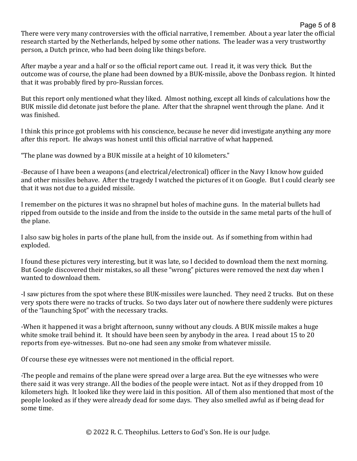Page 5 of 8 There were very many controversies with the official narrative, I remember. About a vear later the official research started by the Netherlands, helped by some other nations. The leader was a very trustworthy person, a Dutch prince, who had been doing like things before.

After maybe a year and a half or so the official report came out. I read it, it was very thick. But the outcome was of course, the plane had been downed by a BUK-missile, above the Donbass region. It hinted that it was probably fired by pro-Russian forces.

But this report only mentioned what they liked. Almost nothing, except all kinds of calculations how the BUK missile did detonate just before the plane. After that the shrapnel went through the plane. And it was finished.

I think this prince got problems with his conscience, because he never did investigate anything any more after this report. He always was honest until this official narrative of what happened.

"The plane was downed by a BUK missile at a height of 10 kilometers."

-Because of I have been a weapons (and electrical/electronical) officer in the Navy I know how guided and other missiles behave. After the tragedy I watched the pictures of it on Google. But I could clearly see that it was not due to a guided missile.

I remember on the pictures it was no shrapnel but holes of machine guns. In the material bullets had ripped from outside to the inside and from the inside to the outside in the same metal parts of the hull of the plane.

I also saw big holes in parts of the plane hull, from the inside out. As if something from within had exploded. 

I found these pictures very interesting, but it was late, so I decided to download them the next morning. But Google discovered their mistakes, so all these "wrong" pictures were removed the next day when I wanted to download them.

-I saw pictures from the spot where these BUK-missiles were launched. They need 2 trucks. But on these very spots there were no tracks of trucks. So two days later out of nowhere there suddenly were pictures of the "launching Spot" with the necessary tracks.

-When it happened it was a bright afternoon, sunny without any clouds. A BUK missile makes a huge white smoke trail behind it. It should have been seen by anybody in the area. I read about 15 to 20 reports from eye-witnesses. But no-one had seen any smoke from whatever missile.

Of course these eve witnesses were not mentioned in the official report.

-The people and remains of the plane were spread over a large area. But the eye witnesses who were there said it was very strange. All the bodies of the people were intact. Not as if they dropped from 10 kilometers high. It looked like they were laid in this position. All of them also mentioned that most of the people looked as if they were already dead for some days. They also smelled awful as if being dead for some time.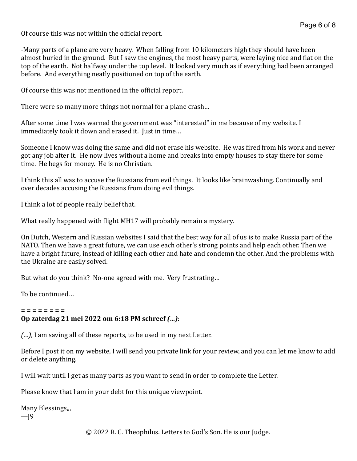Of course this was not within the official report.

-Many parts of a plane are very heavy. When falling from 10 kilometers high they should have been almost buried in the ground. But I saw the engines, the most heavy parts, were laying nice and flat on the top of the earth. Not halfway under the top level. It looked very much as if everything had been arranged before. And everything neatly positioned on top of the earth.

Of course this was not mentioned in the official report.

There were so many more things not normal for a plane crash...

After some time I was warned the government was "interested" in me because of my website. I immediately took it down and erased it. Just in time...

Someone I know was doing the same and did not erase his website. He was fired from his work and never got any job after it. He now lives without a home and breaks into empty houses to stay there for some time. He begs for money. He is no Christian.

I think this all was to accuse the Russians from evil things. It looks like brainwashing. Continually and over decades accusing the Russians from doing evil things.

I think a lot of people really belief that.

What really happened with flight MH17 will probably remain a mystery.

On Dutch, Western and Russian websites I said that the best way for all of us is to make Russia part of the NATO. Then we have a great future, we can use each other's strong points and help each other. Then we have a bright future, instead of killing each other and hate and condemn the other. And the problems with the Ukraine are easily solved.

But what do you think? No-one agreed with me. Very frustrating...

To be continued

#### **= = = = = = = =**

#### **Op zaterdag 21 mei 2022 om 6:18 PM schreef** *(…)*:

*(...)*, I am saving all of these reports, to be used in my next Letter.

Before I post it on my website, I will send you private link for your review, and you can let me know to add or delete anything.

I will wait until I get as many parts as you want to send in order to complete the Letter.

Please know that I am in your debt for this unique viewpoint.

Many Blessings... —J9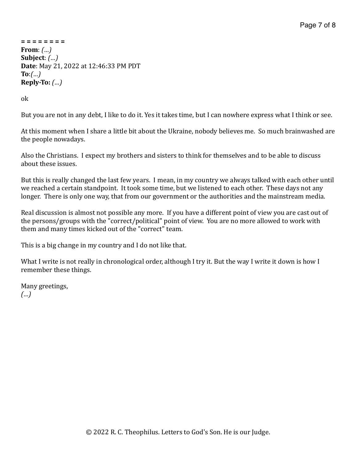Page 7 of 8

```
=	=	=	=	=	=	=	=
From: (...)
Subject:	(…)
Date: May 21, 2022 at 12:46:33 PM PDT
To:(…)
Reply-To: (…)
```
ok 

But you are not in any debt, I like to do it. Yes it takes time, but I can nowhere express what I think or see.

At this moment when I share a little bit about the Ukraine, nobody believes me. So much brainwashed are the people nowadays.

Also the Christians. I expect my brothers and sisters to think for themselves and to be able to discuss about these issues.

But this is really changed the last few years. I mean, in my country we always talked with each other until we reached a certain standpoint. It took some time, but we listened to each other. These days not any longer. There is only one way, that from our government or the authorities and the mainstream media.

Real discussion is almost not possible any more. If you have a different point of view you are cast out of the persons/groups with the "correct/political" point of view. You are no more allowed to work with them and many times kicked out of the "correct" team.

This is a big change in my country and I do not like that.

What I write is not really in chronological order, although I try it. But the way I write it down is how I remember these things.

Many greetings, *(…)*